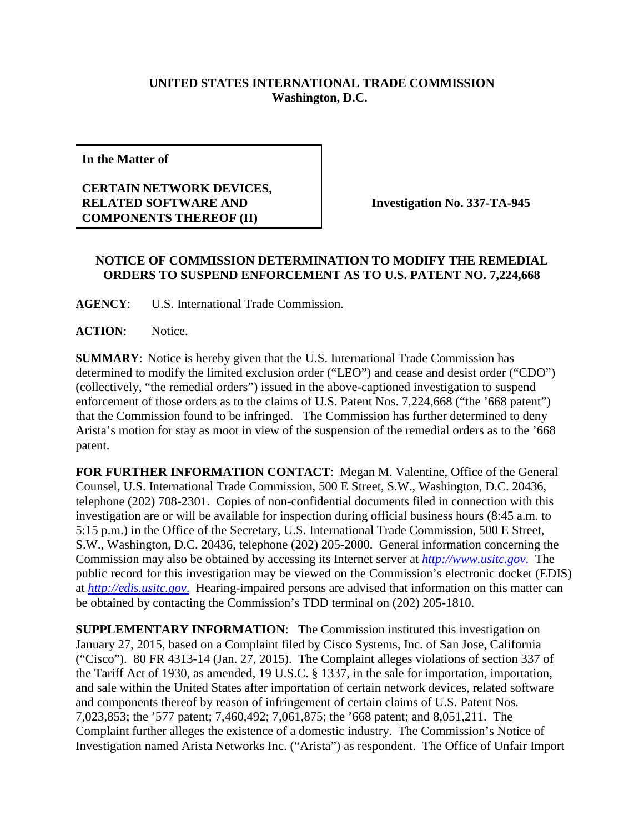## **UNITED STATES INTERNATIONAL TRADE COMMISSION Washington, D.C.**

**In the Matter of**

## **CERTAIN NETWORK DEVICES, RELATED SOFTWARE AND COMPONENTS THEREOF (II)**

**Investigation No. 337-TA-945**

## **NOTICE OF COMMISSION DETERMINATION TO MODIFY THE REMEDIAL ORDERS TO SUSPEND ENFORCEMENT AS TO U.S. PATENT NO. 7,224,668**

**AGENCY**: U.S. International Trade Commission.

**ACTION**: Notice.

**SUMMARY**: Notice is hereby given that the U.S. International Trade Commission has determined to modify the limited exclusion order ("LEO") and cease and desist order ("CDO") (collectively, "the remedial orders") issued in the above-captioned investigation to suspend enforcement of those orders as to the claims of U.S. Patent Nos. 7,224,668 ("the '668 patent") that the Commission found to be infringed. The Commission has further determined to deny Arista's motion for stay as moot in view of the suspension of the remedial orders as to the '668 patent.

**FOR FURTHER INFORMATION CONTACT**: Megan M. Valentine, Office of the General Counsel, U.S. International Trade Commission, 500 E Street, S.W., Washington, D.C. 20436, telephone (202) 708-2301. Copies of non-confidential documents filed in connection with this investigation are or will be available for inspection during official business hours (8:45 a.m. to 5:15 p.m.) in the Office of the Secretary, U.S. International Trade Commission, 500 E Street, S.W., Washington, D.C. 20436, telephone (202) 205-2000. General information concerning the Commission may also be obtained by accessing its Internet server at *[http://www.usitc.gov](http://www.usitc.gov./)*. The public record for this investigation may be viewed on the Commission's electronic docket (EDIS) at *[http://edis.usitc.gov](http://edis.usitc.gov./)*. Hearing-impaired persons are advised that information on this matter can be obtained by contacting the Commission's TDD terminal on (202) 205-1810.

**SUPPLEMENTARY INFORMATION**: The Commission instituted this investigation on January 27, 2015, based on a Complaint filed by Cisco Systems, Inc. of San Jose, California ("Cisco"). 80 FR 4313-14 (Jan. 27, 2015). The Complaint alleges violations of section 337 of the Tariff Act of 1930, as amended, 19 U.S.C. § 1337, in the sale for importation, importation, and sale within the United States after importation of certain network devices, related software and components thereof by reason of infringement of certain claims of U.S. Patent Nos. 7,023,853; the '577 patent; 7,460,492; 7,061,875; the '668 patent; and 8,051,211. The Complaint further alleges the existence of a domestic industry. The Commission's Notice of Investigation named Arista Networks Inc. ("Arista") as respondent. The Office of Unfair Import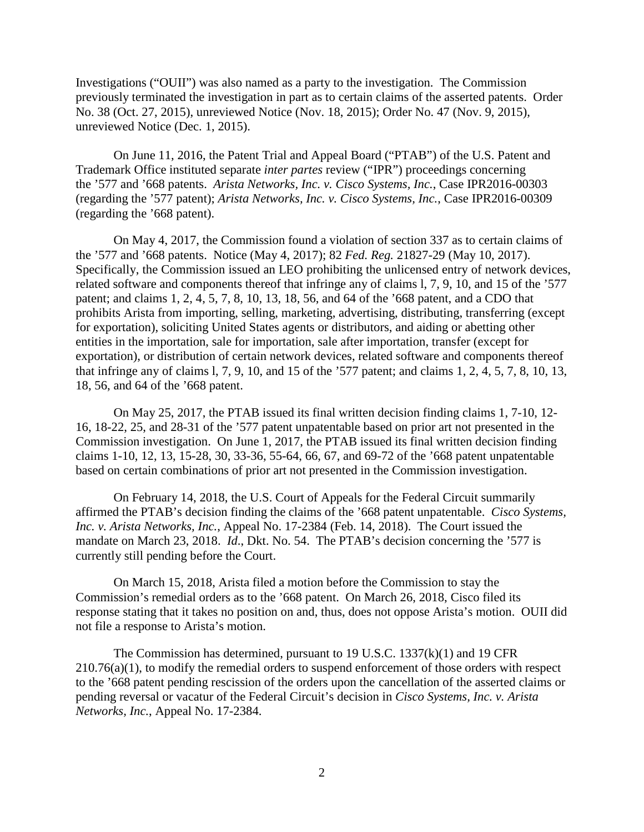Investigations ("OUII") was also named as a party to the investigation. The Commission previously terminated the investigation in part as to certain claims of the asserted patents. Order No. 38 (Oct. 27, 2015), unreviewed Notice (Nov. 18, 2015); Order No. 47 (Nov. 9, 2015), unreviewed Notice (Dec. 1, 2015).

On June 11, 2016, the Patent Trial and Appeal Board ("PTAB") of the U.S. Patent and Trademark Office instituted separate *inter partes* review ("IPR") proceedings concerning the '577 and '668 patents. *Arista Networks, Inc. v. Cisco Systems, Inc.*, Case IPR2016-00303 (regarding the '577 patent); *Arista Networks, Inc. v. Cisco Systems, Inc.*, Case IPR2016-00309 (regarding the '668 patent).

On May 4, 2017, the Commission found a violation of section 337 as to certain claims of the '577 and '668 patents. Notice (May 4, 2017); 82 *Fed. Reg.* 21827-29 (May 10, 2017). Specifically, the Commission issued an LEO prohibiting the unlicensed entry of network devices, related software and components thereof that infringe any of claims l, 7, 9, 10, and 15 of the '577 patent; and claims 1, 2, 4, 5, 7, 8, 10, 13, 18, 56, and 64 of the '668 patent, and a CDO that prohibits Arista from importing, selling, marketing, advertising, distributing, transferring (except for exportation), soliciting United States agents or distributors, and aiding or abetting other entities in the importation, sale for importation, sale after importation, transfer (except for exportation), or distribution of certain network devices, related software and components thereof that infringe any of claims l, 7, 9, 10, and 15 of the '577 patent; and claims 1, 2, 4, 5, 7, 8, 10, 13, 18, 56, and 64 of the '668 patent.

On May 25, 2017, the PTAB issued its final written decision finding claims 1, 7-10, 12- 16, 18-22, 25, and 28-31 of the '577 patent unpatentable based on prior art not presented in the Commission investigation. On June 1, 2017, the PTAB issued its final written decision finding claims 1-10, 12, 13, 15-28, 30, 33-36, 55-64, 66, 67, and 69-72 of the '668 patent unpatentable based on certain combinations of prior art not presented in the Commission investigation.

On February 14, 2018, the U.S. Court of Appeals for the Federal Circuit summarily affirmed the PTAB's decision finding the claims of the '668 patent unpatentable. *Cisco Systems, Inc. v. Arista Networks, Inc.*, Appeal No. 17-2384 (Feb. 14, 2018). The Court issued the mandate on March 23, 2018. *Id*., Dkt. No. 54. The PTAB's decision concerning the '577 is currently still pending before the Court.

On March 15, 2018, Arista filed a motion before the Commission to stay the Commission's remedial orders as to the '668 patent. On March 26, 2018, Cisco filed its response stating that it takes no position on and, thus, does not oppose Arista's motion. OUII did not file a response to Arista's motion.

The Commission has determined, pursuant to 19 U.S.C. 1337(k)(1) and 19 CFR  $210.76(a)(1)$ , to modify the remedial orders to suspend enforcement of those orders with respect to the '668 patent pending rescission of the orders upon the cancellation of the asserted claims or pending reversal or vacatur of the Federal Circuit's decision in *Cisco Systems, Inc. v. Arista Networks, Inc.*, Appeal No. 17-2384.